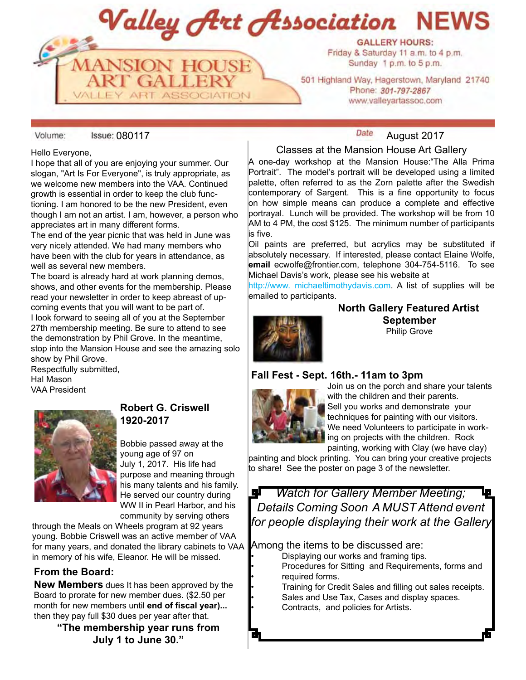Valley Art Association **NEWS** 



501 Highland Way, Hagerstown, Maryland 21740 Phone: 301-797-2867 www.valleyartassoc.com

Volume:

#### Hello Everyone,

I hope that all of you are enjoying your summer. Our slogan, "Art Is For Everyone", is truly appropriate, as we welcome new members into the VAA. Continued growth is essential in order to keep the club functioning. I am honored to be the new President, even though I am not an artist. I am, however, a person who appreciates art in many different forms.

**MANSION HOUSE**<br>**ART GALLERY** 

**ART ASSOCIATION** 

The end of the year picnic that was held in June was very nicely attended. We had many members who have been with the club for years in attendance, as well as several new members.

The board is already hard at work planning demos, shows, and other events for the membership. Please read your newsletter in order to keep abreast of upcoming events that you will want to be part of.

I look forward to seeing all of you at the September 27th membership meeting. Be sure to attend to see the demonstration by Phil Grove. In the meantime, stop into the Mansion House and see the amazing solo show by Phil Grove.

Respectfully submitted, Hal Mason VAA President



### **Robert G. Criswell 1920-2017**

Bobbie passed away at the young age of 97 on July 1, 2017. His life had purpose and meaning through his many talents and his family. He served our country during WW II in Pearl Harbor, and his community by serving others

through the Meals on Wheels program at 92 years young. Bobbie Criswell was an active member of VAA for many years, and donated the library cabinets to VAA in memory of his wife, Eleanor. He will be missed.

#### **From the Board:**

**New Members** dues It has been approved by the Board to prorate for new member dues. (\$2.50 per month for new members until **end of fiscal year)...** then they pay full \$30 dues per year after that.

> **"The membership year runs from July 1 to June 30."**

# **Date** August 2017

#### Classes at the Mansion House Art Gallery

A one-day workshop at the Mansion House:"The Alla Prima Portrait". The model's portrait will be developed using a limited palette, often referred to as the Zorn palette after the Swedish contemporary of Sargent. This is a fine opportunity to focus on how simple means can produce a complete and effective portrayal. Lunch will be provided. The workshop will be from 10 AM to 4 PM, the cost \$125. The minimum number of participants is five.

Oil paints are preferred, but acrylics may be substituted if absolutely necessary. If interested, please contact Elaine Wolfe, **email** ecwolfe@frontier.com, telephone 304-754-5116. To see Michael Davis's work, please see his website at

http://www. michaeltimothydavis.com. A list of supplies will be emailed to participants.

**North Gallery Featured Artist September** Philip Grove

#### **Fall Fest - Sept. 16th.- 11am to 3pm**



Join us on the porch and share your talents with the children and their parents. Sell you works and demonstrate your techniques for painting with our visitors. We need Volunteers to participate in working on projects with the children. Rock painting, working with Clay (we have clay)

painting and block printing. You can bring your creative projects to share! See the poster on page 3 of the newsletter.

*Watch for Gallery Member Meeting;* 필 *Details Coming Soon A MUST Attend event for people displaying their work at the Gallery* 

Among the items to be discussed are:

- Displaying our works and framing tips.
- Procedures for Sitting and Requirements, forms and required forms.
- Training for Credit Sales and filling out sales receipts.
- Sales and Use Tax, Cases and display spaces.
- Contracts, and policies for Artists.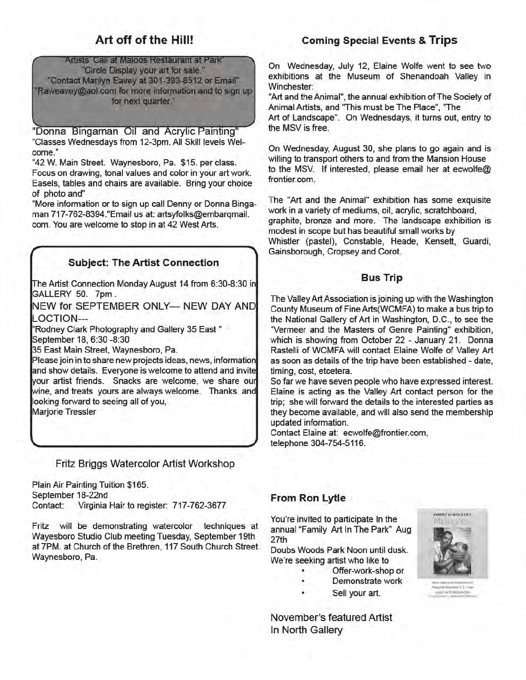# Art off of the Hill!

Artists' Call at Maloos Restaurant at Park' "Circle Display your art for sale." "Contact Marilyn Eavey at 301-393-8512 or Email" Raweavey@aol.com for more information and to sign up for next quarter."

"Donna Bingaman Oil and Acrylic Painting" "Classes Wednesdays from 12-3pm. All Skill levels Welcome."

"42 W. Main Street. Waynesboro, Pa. \$15, per class. Focus on drawing, tonal values and color in your art work. Easels, tables and chairs are available. Bring your choice of photo and"

"More information or to sign up call Denny or Donna Bingaman 717-762-8394."Email us at: artsyfolks@embarqmail. com. You are welcome to stop in at 42 West Arts.

# **Subject: The Artist Connection**

The Artist Connection Monday August 14 from 6:30-8:30 in GALLERY 50. 7pm.

NEW for SEPTEMBER ONLY--- NEW DAY AND **OCTION---**

"Rodney Clark Photography and Gallery 35 East" September 18, 6:30 -8:30

35 East Main Street, Waynesboro, Pa.

Please join in to share new projects ideas, news, information and show details. Everyone is welcome to attend and invite your artist friends. Snacks are welcome, we share our wine, and treats yours are always welcome. Thanks and looking forward to seeing all of you,

Marjorie Tressler

Fritz Briggs Watercolor Artist Workshop

Plain Air Painting Tuition \$165. September 18-22nd Contact: Virginia Hair to register: 717-762-3677

Fritz will be demonstrating watercolor techniques at Wayesboro Studio Club meeting Tuesday, September 19th at 7PM, at Church of the Brethren, 117 South Church Street Waynesboro, Pa.

# **Coming Special Events & Trips**

On Wednesday, July 12, Elaine Wolfe went to see two exhibitions at the Museum of Shenandoah Valley in Winchester:

"Art and the Animal", the annual exhibition of The Society of Animal Artists, and "This must be The Place", "The

Art of Landscape". On Wednesdays, it turns out, entry to the MSV is free.

On Wednesday, August 30, she plans to go again and is willing to transport others to and from the Mansion House to the MSV. If interested, please email her at ecwolfe@ frontier.com.

The "Art and the Animal" exhibition has some exquisite work in a variety of mediums, oil, acrylic, scratchboard, graphite, bronze and more. The landscape exhibition is modest in scope but has beautiful small works by Whistler (pastel), Constable, Heade, Kensett, Guardi, Gainsborough, Cropsey and Corot.

#### **Bus Trip**

The Valley Art Association is joining up with the Washington County Museum of Fine Arts(WCMFA) to make a bus trip to the National Gallery of Art in Washington, D.C., to see the "Vermeer and the Masters of Genre Painting" exhibition, which is showing from October 22 - January 21. Donna Rastelli of WCMFA will contact Elaine Wolfe of Valley Art as soon as details of the trip have been established - date. timing, cost, etcetera.

So far we have seven people who have expressed interest. Elaine is acting as the Valley Art contact person for the trip; she will forward the details to the interested parties as they become available, and will also send the membership updated information.

Contact Elaine at: ecwolfe@frontier.com, telephone 304-754-5116.

#### From Ron Lytle

You're invited to participate In the annual "Family Art In The Park" Aug 27th

Doubs Woods Park Noon until dusk. We're seeking artist who like to

- Offer-work-shop or
- Demonstrate work
- Sell your art.

November's featured Artist In North Gallery

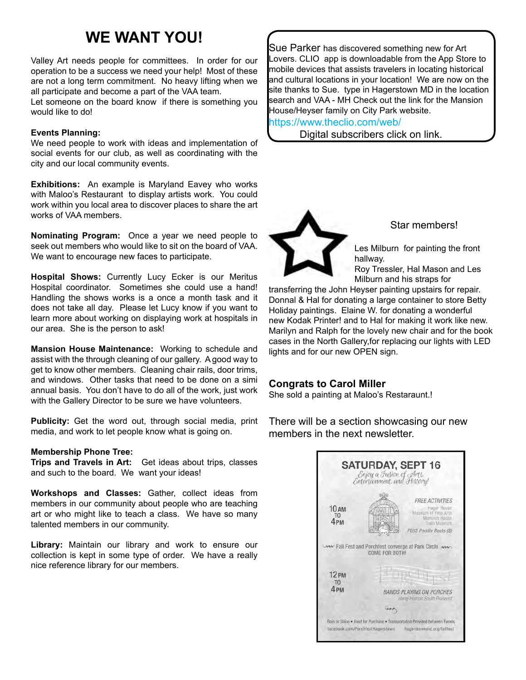# **WE WANT YOU!**

Valley Art needs people for committees. In order for our operation to be a success we need your help! Most of these are not a long term commitment. No heavy lifting when we all participate and become a part of the VAA team.

Let someone on the board know if there is something you would like to do!

#### **Events Planning:**

We need people to work with ideas and implementation of social events for our club, as well as coordinating with the city and our local community events.

**Exhibitions:** An example is Maryland Eavey who works with Maloo's Restaurant to display artists work. You could work within you local area to discover places to share the art works of VAA members.

**Nominating Program:** Once a year we need people to seek out members who would like to sit on the board of VAA. We want to encourage new faces to participate.

**Hospital Shows:** Currently Lucy Ecker is our Meritus Hospital coordinator. Sometimes she could use a hand! Handling the shows works is a once a month task and it does not take all day. Please let Lucy know if you want to learn more about working on displaying work at hospitals in our area. She is the person to ask!

**Mansion House Maintenance:** Working to schedule and assist with the through cleaning of our gallery. A good way to get to know other members. Cleaning chair rails, door trims, and windows. Other tasks that need to be done on a simi annual basis. You don't have to do all of the work, just work with the Gallery Director to be sure we have volunteers.

**Publicity:** Get the word out, through social media, print media, and work to let people know what is going on.

#### **Membership Phone Tree:**

**Trips and Travels in Art:** Get ideas about trips, classes and such to the board. We want your ideas!

**Workshops and Classes:** Gather, collect ideas from members in our community about people who are teaching art or who might like to teach a class. We have so many talented members in our community.

**Library:** Maintain our library and work to ensure our collection is kept in some type of order. We have a really nice reference library for our members.

Sue Parker has discovered something new for Art Lovers. CLIO app is downloadable from the App Store to mobile devices that assists travelers in locating historical and cultural locations in your location! We are now on the site thanks to Sue. type in Hagerstown MD in the location search and VAA - MH Check out the link for the Mansion House/Heyser family on City Park website.

https://www.theclio.com/web/

Digital subscribers click on link.



Star members!

Les Milburn for painting the front hallway.

Roy Tressler, Hal Mason and Les Milburn and his straps for

transferring the John Heyser painting upstairs for repair. Donnal & Hal for donating a large container to store Betty Holiday paintings. Elaine W. for donating a wonderful new Kodak Printer! and to Hal for making it work like new. Marilyn and Ralph for the lovely new chair and for the book cases in the North Gallery,for replacing our lights with LED lights and for our new OPEN sign.

#### **Congrats to Carol Miller**

She sold a painting at Maloo's Restaraunt.!

**SATURDAY, SEPT 16** Enjoy a Fusion of Arts.<br>Entertainment, and History! FREE ACTIVITIES **10 AM** Hager House<br>Museum of Fine Arts Mansion House 4<sub>PM</sub> PLUS Paddle Boats (\$) ANY Fall Fest and Porchfest converge at Park Circle AW COME FOR BOTH! 12<sub>PM</sub> T<sub>0</sub> 4<sub>PM</sub> **BANDS PLAYING ON PORCHES** along Plistonic South Prospect von. Rain or Shine . Food for Purchase . Transportation Provided between Events facebook.com/PorchfestHagerstown hagerstownmd.org/fallfest

There will be a section showcasing our new members in the next newsletter.